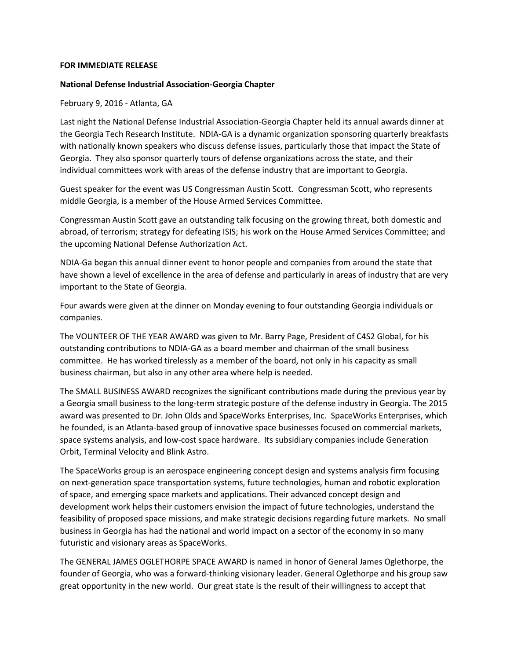## **FOR IMMEDIATE RELEASE**

## **National Defense Industrial Association-Georgia Chapter**

February 9, 2016 - Atlanta, GA

Last night the National Defense Industrial Association-Georgia Chapter held its annual awards dinner at the Georgia Tech Research Institute. NDIA-GA is a dynamic organization sponsoring quarterly breakfasts with nationally known speakers who discuss defense issues, particularly those that impact the State of Georgia. They also sponsor quarterly tours of defense organizations across the state, and their individual committees work with areas of the defense industry that are important to Georgia.

Guest speaker for the event was US Congressman Austin Scott. Congressman Scott, who represents middle Georgia, is a member of the House Armed Services Committee.

Congressman Austin Scott gave an outstanding talk focusing on the growing threat, both domestic and abroad, of terrorism; strategy for defeating ISIS; his work on the House Armed Services Committee; and the upcoming National Defense Authorization Act.

NDIA-Ga began this annual dinner event to honor people and companies from around the state that have shown a level of excellence in the area of defense and particularly in areas of industry that are very important to the State of Georgia.

Four awards were given at the dinner on Monday evening to four outstanding Georgia individuals or companies.

The VOUNTEER OF THE YEAR AWARD was given to Mr. Barry Page, President of C4S2 Global, for his outstanding contributions to NDIA-GA as a board member and chairman of the small business committee. He has worked tirelessly as a member of the board, not only in his capacity as small business chairman, but also in any other area where help is needed.

The SMALL BUSINESS AWARD recognizes the significant contributions made during the previous year by a Georgia small business to the long-term strategic posture of the defense industry in Georgia. The 2015 award was presented to Dr. John Olds and SpaceWorks Enterprises, Inc. SpaceWorks Enterprises, which he founded, is an Atlanta-based group of innovative space businesses focused on commercial markets, space systems analysis, and low-cost space hardware. Its subsidiary companies include Generation Orbit, Terminal Velocity and Blink Astro.

The SpaceWorks group is an aerospace engineering concept design and systems analysis firm focusing on next-generation space transportation systems, future technologies, human and robotic exploration of space, and emerging space markets and applications. Their advanced concept design and development work helps their customers envision the impact of future technologies, understand the feasibility of proposed space missions, and make strategic decisions regarding future markets. No small business in Georgia has had the national and world impact on a sector of the economy in so many futuristic and visionary areas as SpaceWorks.

The GENERAL JAMES OGLETHORPE SPACE AWARD is named in honor of General James Oglethorpe, the founder of Georgia, who was a forward-thinking visionary leader. General Oglethorpe and his group saw great opportunity in the new world. Our great state is the result of their willingness to accept that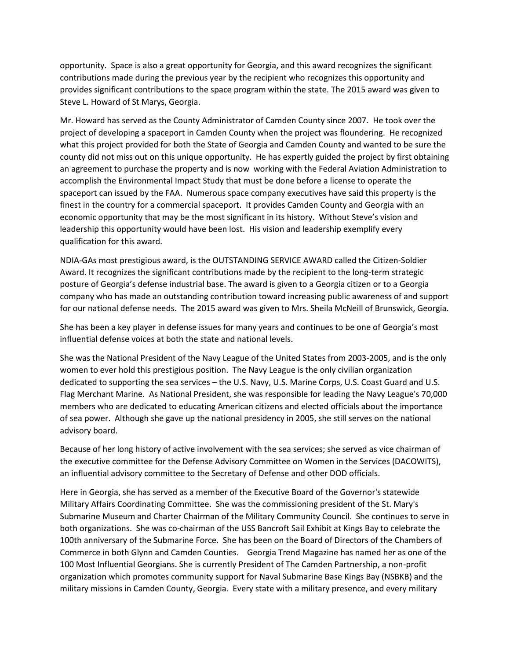opportunity. Space is also a great opportunity for Georgia, and this award recognizes the significant contributions made during the previous year by the recipient who recognizes this opportunity and provides significant contributions to the space program within the state. The 2015 award was given to Steve L. Howard of St Marys, Georgia.

Mr. Howard has served as the County Administrator of Camden County since 2007. He took over the project of developing a spaceport in Camden County when the project was floundering. He recognized what this project provided for both the State of Georgia and Camden County and wanted to be sure the county did not miss out on this unique opportunity. He has expertly guided the project by first obtaining an agreement to purchase the property and is now working with the Federal Aviation Administration to accomplish the Environmental Impact Study that must be done before a license to operate the spaceport can issued by the FAA. Numerous space company executives have said this property is the finest in the country for a commercial spaceport. It provides Camden County and Georgia with an economic opportunity that may be the most significant in its history. Without Steve's vision and leadership this opportunity would have been lost. His vision and leadership exemplify every qualification for this award.

NDIA-GAs most prestigious award, is the OUTSTANDING SERVICE AWARD called the Citizen-Soldier Award. It recognizes the significant contributions made by the recipient to the long-term strategic posture of Georgia's defense industrial base. The award is given to a Georgia citizen or to a Georgia company who has made an outstanding contribution toward increasing public awareness of and support for our national defense needs. The 2015 award was given to Mrs. Sheila McNeill of Brunswick, Georgia.

She has been a key player in defense issues for many years and continues to be one of Georgia's most influential defense voices at both the state and national levels.

She was the National President of the Navy League of the United States from 2003-2005, and is the only women to ever hold this prestigious position. The Navy League is the only civilian organization dedicated to supporting the sea services – the U.S. Navy, U.S. Marine Corps, U.S. Coast Guard and U.S. Flag Merchant Marine. As National President, she was responsible for leading the Navy League's 70,000 members who are dedicated to educating American citizens and elected officials about the importance of sea power. Although she gave up the national presidency in 2005, she still serves on the national advisory board.

Because of her long history of active involvement with the sea services; she served as vice chairman of the executive committee for the Defense Advisory Committee on Women in the Services (DACOWITS), an influential advisory committee to the Secretary of Defense and other DOD officials.

Here in Georgia, she has served as a member of the Executive Board of the Governor's statewide Military Affairs Coordinating Committee. She was the commissioning president of the St. Mary's Submarine Museum and Charter Chairman of the Military Community Council. She continues to serve in both organizations. She was co-chairman of the USS Bancroft Sail Exhibit at Kings Bay to celebrate the 100th anniversary of the Submarine Force. She has been on the Board of Directors of the Chambers of Commerce in both Glynn and Camden Counties. Georgia Trend Magazine has named her as one of the 100 Most Influential Georgians. She is currently President of The Camden Partnership, a non-profit organization which promotes community support for Naval Submarine Base Kings Bay (NSBKB) and the military missions in Camden County, Georgia. Every state with a military presence, and every military